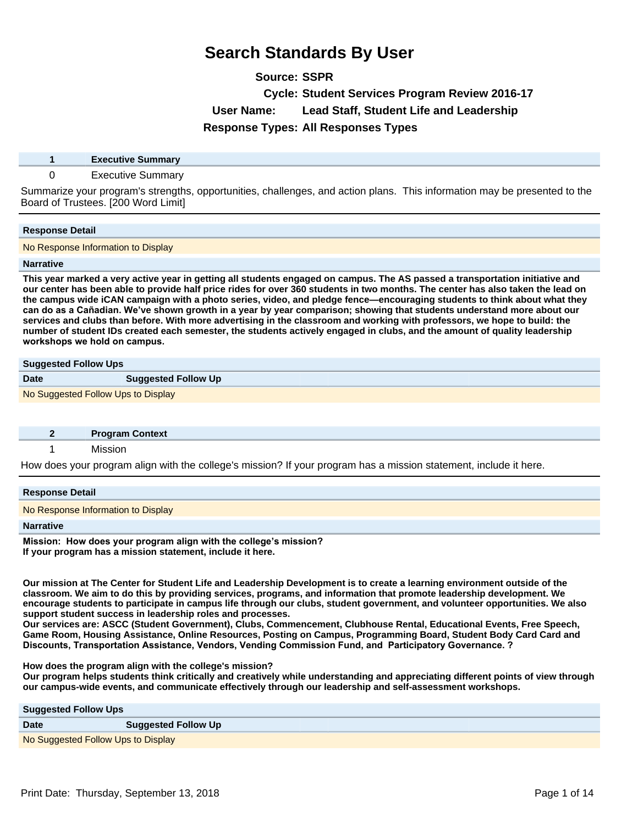**Source: SSPR**

**Cycle: Student Services Program Review 2016-17**

**User Name: Lead Staff, Student Life and Leadership**

**Response Types: All Responses Types**

| <b>Executive Summary</b> |  |
|--------------------------|--|
|                          |  |

## 0 Executive Summary

Summarize your program's strengths, opportunities, challenges, and action plans. This information may be presented to the Board of Trustees. [200 Word Limit]

### **Response Detail**

No Response Information to Display

### **Narrative**

**This year marked a very active year in getting all students engaged on campus. The AS passed a transportation initiative and our center has been able to provide half price rides for over 360 students in two months. The center has also taken the lead on the campus wide iCAN campaign with a photo series, video, and pledge fence²encouraging students to think about what they**  can do as a Cañadian. We've shown growth in a year by year comparison; showing that students understand more about our **services and clubs than before. With more advertising in the classroom and working with professors, we hope to build: the number of student IDs created each semester, the students actively engaged in clubs, and the amount of quality leadership**  workshops we hold on campus.

#### **Suggested Follow Ups**

| <b>Date</b> | <b>Suggested</b> |
|-------------|------------------|
|             |                  |

No Suggested Follow Ups to Display

| <b>Program Context</b> |
|------------------------|
| Missior.               |

How does your program align with the college's mission? If your program has a mission statement, include it here.

### **Response Detail**

No Response Information to Display

#### **Narrative**

Mission: How does your program align with the college's mission? **If your program has a mission statement, include it here.**

**Follow Up** 

**Our mission at The Center for Student Life and Leadership Development is to create a learning environment outside of the classroom. We aim to do this by providing services, programs, and information that promote leadership development. We encourage students to participate in campus life through our clubs, student government, and volunteer opportunities. We also support student success in leadership roles and processes.**

**Our services are: ASCC (Student Government), Clubs, Commencement, Clubhouse Rental, Educational Events, Free Speech, Game Room, Housing Assistance, Online Resources, Posting on Campus, Programming Board, Student Body Card Card and**  Discounts, Transportation Assistance, Vendors, Vending Commission Fund, and Participatory Governance. ?

**How does the program align with the college's mission?**

**Our program helps students think critically and creatively while understanding and appreciating different points of view through our campus-wide events, and communicate effectively through our leadership and self-assessment workshops.**

| <b>Suggested Follow Ups</b>        |                            |
|------------------------------------|----------------------------|
| <b>Date</b>                        | <b>Suggested Follow Up</b> |
| No Suggested Follow Ups to Display |                            |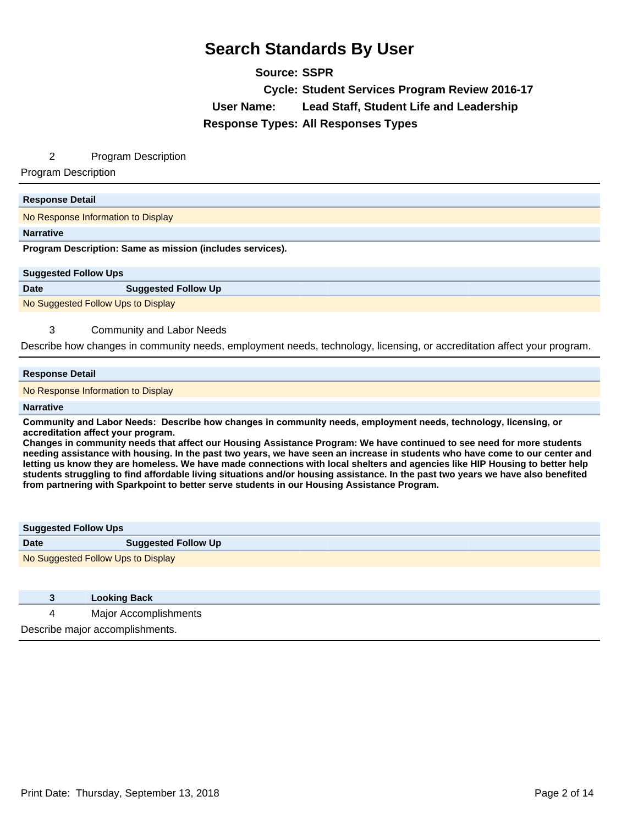**Source: SSPR Cycle: Student Services Program Review 2016-17 User Name: Lead Staff, Student Life and Leadership Response Types: All Responses Types**

## 2 Program Description

Program Description

## **Response Detail**

No Response Information to Display

### **Narrative**

**Program Description: Same as mission (includes services).** 

| <b>Suggested Follow Ups</b>        |                            |
|------------------------------------|----------------------------|
| <b>Date</b>                        | <b>Suggested Follow Up</b> |
| No Suggested Follow Ups to Display |                            |

## 3 Community and Labor Needs

Describe how changes in community needs, employment needs, technology, licensing, or accreditation affect your program.

### **Response Detail**

No Response Information to Display

### **Narrative**

Community and Labor Needs: Describe how changes in community needs, employment needs, technology, licensing, or accreditation affect your program.

**Changes in community needs that affect our Housing Assistance Program: We have continued to see need for more students needing assistance with housing. In the past two years, we have seen an increase in students who have come to our center and letting us know they are homeless. We have made connections with local shelters and agencies like HIP Housing to better help students struggling to find affordable living situations and/or housing assistance. In the past two years we have also benefited from partnering with Sparkpoint to better serve students in our Housing Assistance Program.** 

| <b>Suggested Follow Ups</b>        |                            |  |  |
|------------------------------------|----------------------------|--|--|
| <b>Date</b>                        | <b>Suggested Follow Up</b> |  |  |
| No Suggested Follow Ups to Display |                            |  |  |
|                                    |                            |  |  |

|                                 | <b>Looking Back</b>   |
|---------------------------------|-----------------------|
|                                 | Major Accomplishments |
| Describe major accomplishments. |                       |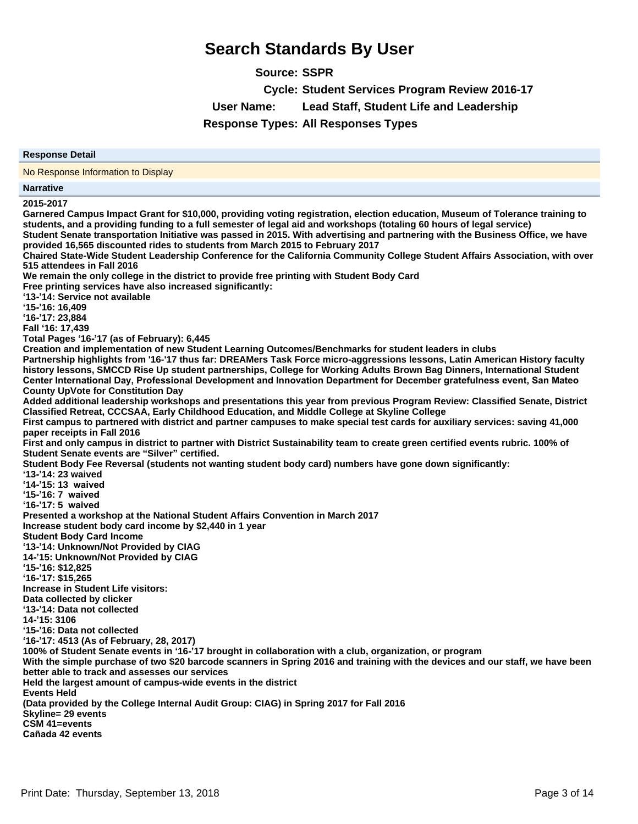**Source: SSPR**

**Cycle: Student Services Program Review 2016-17**

**User Name: Lead Staff, Student Life and Leadership**

**Response Types: All Responses Types**

#### **Response Detail**

No Response Information to Display

#### **Narrative**

#### **2015-2017**

**Garnered Campus Impact Grant for \$10,000, providing voting registration, election education, Museum of Tolerance training to students, and a providing funding to a full semester of legal aid and workshops (totaling 60 hours of legal service) Student Senate transportation Initiative was passed in 2015. With advertising and partnering with the Business Office, we have provided 16,565 discounted rides to students from March 2015 to February 2017 Chaired State-Wide Student Leadership Conference for the California Community College Student Affairs Association, with over 515 attendees in Fall 2016 We remain the only college in the district to provide free printing with Student Body Card Free printing services have also increased significantly: µ13¶14: Service not available µ15¶16: 16,409 µ16¶17: 23,884 Fall µ16: 17,439 Total Pages µ16¶17 (as of February): 6,445 Creation and implementation of new Student Learning Outcomes/Benchmarks for student leaders in clubs Partnership highlights from '16-'17 thus far: DREAMers Task Force micro-aggressions lessons, Latin American History faculty history lessons, SMCCD Rise Up student partnerships, College for Working Adults Brown Bag Dinners, International Student**  Center International Day, Professional Development and Innovation Department for December gratefulness event, San Mateo **County UpVote for Constitution Day Added additional leadership workshops and presentations this year from previous Program Review: Classified Senate, District Classified Retreat, CCCSAA, Early Childhood Education, and Middle College at Skyline College First campus to partnered with district and partner campuses to make special test cards for auxiliary services: saving 41,000 paper receipts in Fall 2016 First and only campus in district to partner with District Sustainability team to create green certified events rubric. 100% of Student Senate events are ³Silver´certified. Student Body Fee Reversal (students not wanting student body card) numbers have gone down significantly: µ13¶14: 23 waived**  $14$ <sup>2</sup>**15: 13** waived  $15$ <sup>2</sup>**16: 7** waived  $16$ <sup>2</sup>**17: 5** waived **Presented a workshop at the National Student Affairs Convention in March 2017 Increase student body card income by \$2,440 in 1 year Student Body Card Income µ13¶14: Unknown/Not Provided by CIAG 14¶15: Unknown/Not Provided by CIAG µ15¶16: \$12,825 µ16¶17: \$15,265 Increase in Student Life visitors: Data collected by clicker µ13¶14: Data not collected 14¶15: 3106 µ15¶16: Data not collected µ16¶17: 4513 (As of February, 28, 2017) 100% of Student Senate events in µ16¶17 brought in collaboration with a club, organization, or program With the simple purchase of two \$20 barcode scanners in Spring 2016 and training with the devices and our staff, we have been better able to track and assesses our services Held the largest amount of campus-wide events in the district Events Held (Data provided by the College Internal Audit Group: CIAG) in Spring 2017 for Fall 2016 Skyline= 29 events CSM 41=events &DxDGD42 events**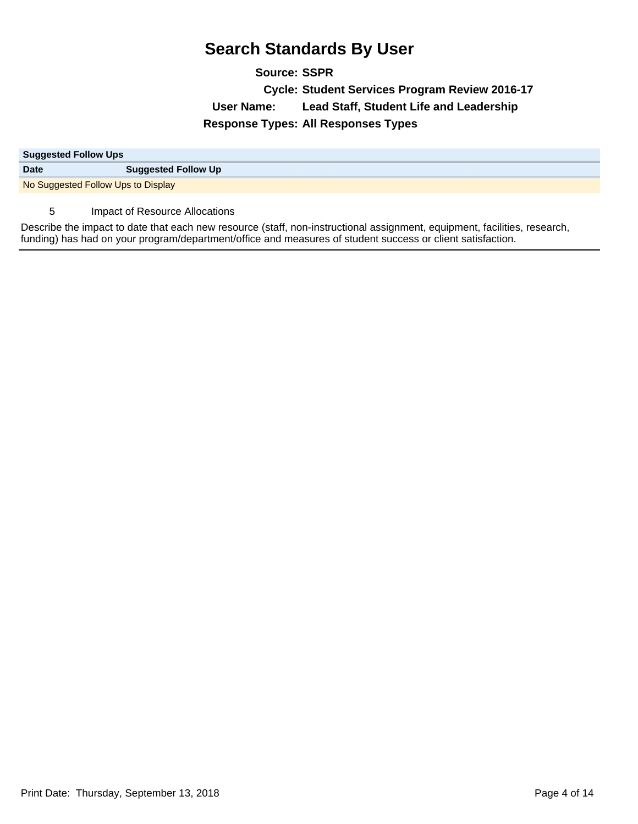**Source: SSPR Cycle: Student Services Program Review 2016-17 User Name: Lead Staff, Student Life and Leadership Response Types: All Responses Types**

| <b>Suggested Follow Ups</b>        |                            |
|------------------------------------|----------------------------|
| <b>Date</b>                        | <b>Suggested Follow Up</b> |
| No Suggested Follow Ups to Display |                            |

5 Impact of Resource Allocations

Describe the impact to date that each new resource (staff, non-instructional assignment, equipment, facilities, research, funding) has had on your program/department/office and measures of student success or client satisfaction.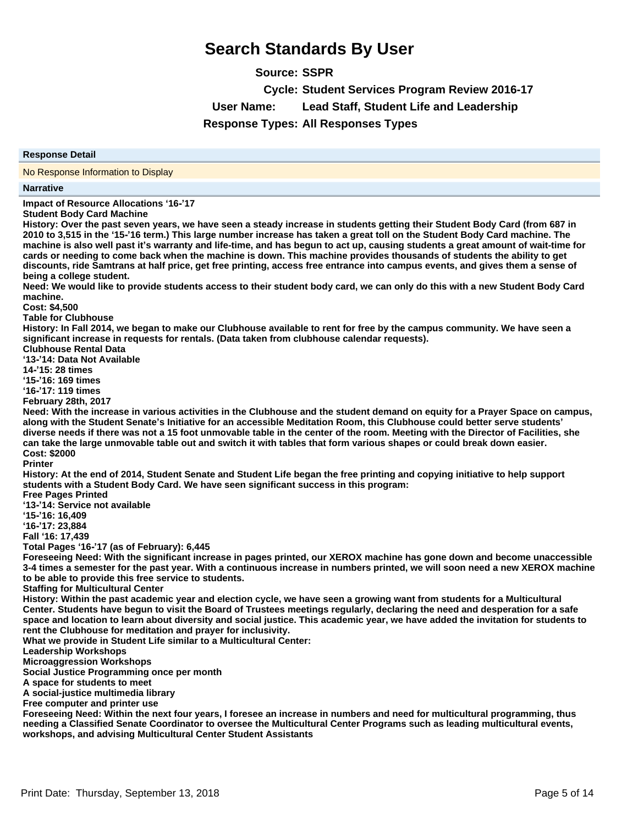**Source: SSPR**

**Cycle: Student Services Program Review 2016-17**

**User Name: Lead Staff, Student Life and Leadership**

**Response Types: All Responses Types**

#### **Response Detail**

No Response Information to Display

#### **Narrative**

**Impact of Resource Allocations '16-'17** 

## **Student Body Card Machine**

**History: Over the past seven years, we have seen a steady increase in students getting their Student Body Card (from 687 in 2010 to 3,515 in the µ15¶16 term.) This large number increase has taken a great toll on the Student Body Card machine. The**  machine is also well past it's warranty and life-time, and has begun to act up, causing students a great amount of wait-time for **cards or needing to come back when the machine is down. This machine provides thousands of students the ability to get discounts, ride Samtrans at half price, get free printing, access free entrance into campus events, and gives them a sense of being a college student.**

**Need: We would like to provide students access to their student body card, we can only do this with a new Student Body Card machine.**

**Cost: \$4,500**

**Table for Clubhouse**

**History: In Fall 2014, we began to make our Clubhouse available to rent for free by the campus community. We have seen a significant increase in requests for rentals. (Data taken from clubhouse calendar requests).**

**Clubhouse Rental Data**

**µ13¶14: Data Not Available**

**14¶15: 28 times**

**µ15¶16: 169 times**

**µ16¶17: 119 times February 28th, 2017**

**Need: With the increase in various activities in the Clubhouse and the student demand on equity for a Prayer Space on campus, along with the Student Senate¶s Initiative for an accessible Meditation Room, this Clubhouse could better serve students¶ diverse needs if there was not a 15 foot unmovable table in the center of the room. Meeting with the Director of Facilities, she can take the large unmovable table out and switch it with tables that form various shapes or could break down easier.** 

**Cost: \$2000 Printer**

**History: At the end of 2014, Student Senate and Student Life began the free printing and copying initiative to help support students with a Student Body Card. We have seen significant success in this program:**

**Free Pages Printed**

**µ13¶14: Service not available**

**µ15¶16: 16,409**

**µ16¶17: 23,884**

**Fall µ16: 17,439**

**Total Pages µ16¶17 (as of February): 6,445**

**Foreseeing Need: With the significant increase in pages printed, our XEROX machine has gone down and become unaccessible 3-4 times a semester for the past year. With a continuous increase in numbers printed, we will soon need a new XEROX machine to be able to provide this free service to students.**

**Staffing for Multicultural Center**

**History: Within the past academic year and election cycle, we have seen a growing want from students for a Multicultural Center. Students have begun to visit the Board of Trustees meetings regularly, declaring the need and desperation for a safe space and location to learn about diversity and social justice. This academic year, we have added the invitation for students to rent the Clubhouse for meditation and prayer for inclusivity.** 

**What we provide in Student Life similar to a Multicultural Center:**

**Leadership Workshops**

**Microaggression Workshops**

**Social Justice Programming once per month**

**A space for students to meet**

**A social-justice multimedia library**

**Free computer and printer use**

**Foreseeing Need: Within the next four years, I foresee an increase in numbers and need for multicultural programming, thus needing a Classified Senate Coordinator to oversee the Multicultural Center Programs such as leading multicultural events, workshops, and advising Multicultural Center Student Assistants**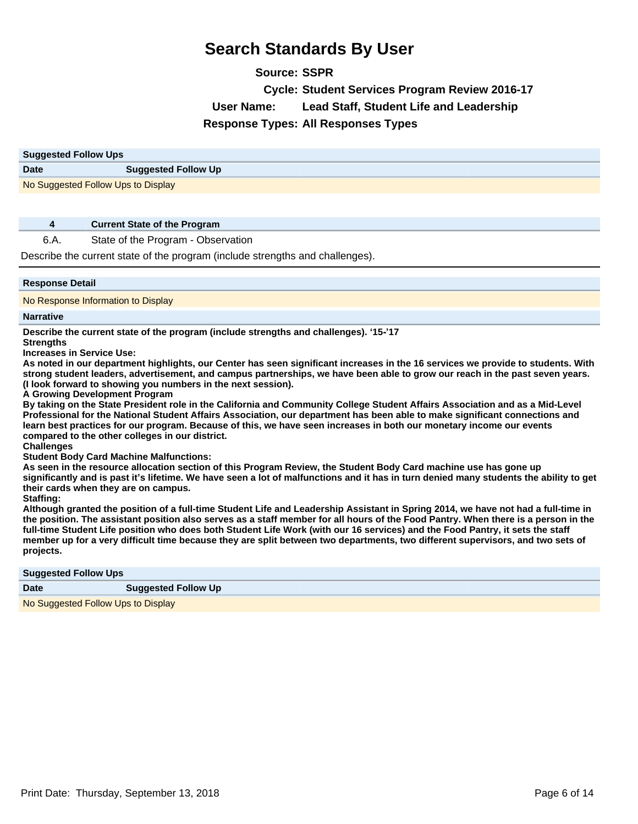**Source: SSPR Cycle: Student Services Program Review 2016-17 User Name: Lead Staff, Student Life and Leadership Response Types: All Responses Types**

| <b>Suggested Follow Ups</b>        |                            |
|------------------------------------|----------------------------|
| <b>Date</b>                        | <b>Suggested Follow Up</b> |
| No Suggested Follow Ups to Display |                            |

**4 Current State of the Program**

6.A. State of the Program - Observation

Describe the current state of the program (include strengths and challenges).

### **Response Detail**

No Response Information to Display

#### **Narrative**

Describe the current state of the program (include strengths and challenges). '15<sup>-</sup>'17

**Strengths**

**Increases in Service Use:**

**As noted in our department highlights, our Center has seen significant increases in the 16 services we provide to students. With strong student leaders, advertisement, and campus partnerships, we have been able to grow our reach in the past seven years. (I look forward to showing you numbers in the next session).**

**A Growing Development Program**

**By taking on the State President role in the California and Community College Student Affairs Association and as a Mid-Level Professional for the National Student Affairs Association, our department has been able to make significant connections and learn best practices for our program. Because of this, we have seen increases in both our monetary income our events compared to the other colleges in our district.**

**Challenges**

**Student Body Card Machine Malfunctions:**

**As seen in the resource allocation section of this Program Review, the Student Body Card machine use has gone up significantly and is past it¶s lifetime. We have seen a lot of malfunctions and it has in turn denied many students the ability to get their cards when they are on campus.**

**Staffing:**

**Although granted the position of a full-time Student Life and Leadership Assistant in Spring 2014, we have not had a full-time in the position. The assistant position also serves as a staff member for all hours of the Food Pantry. When there is a person in the full-time Student Life position who does both Student Life Work (with our 16 services) and the Food Pantry, it sets the staff member up for a very difficult time because they are split between two departments, two different supervisors, and two sets of projects.**

| <b>Suggested Follow Ups</b>        |                            |
|------------------------------------|----------------------------|
| <b>Date</b>                        | <b>Suggested Follow Up</b> |
| No Suggested Follow Ups to Display |                            |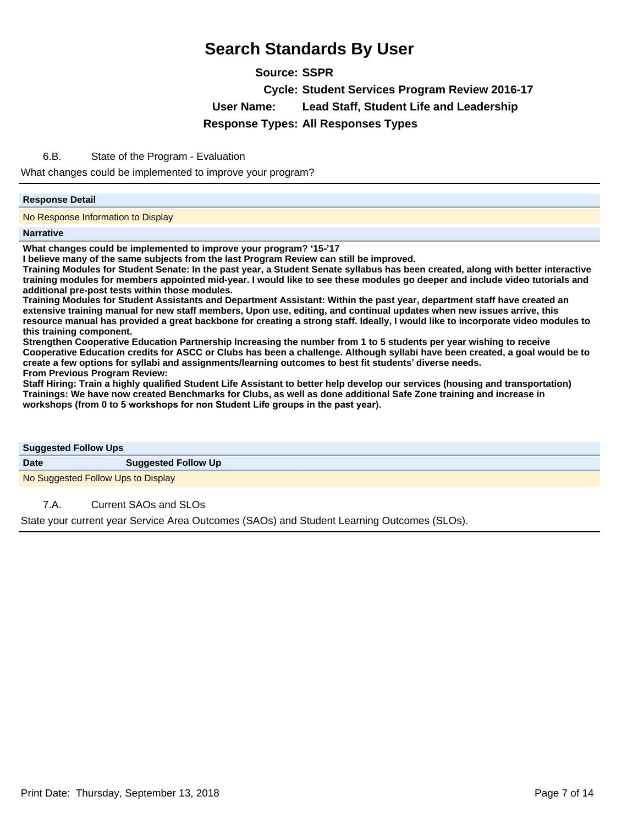**Source: SSPR**

**Cycle: Student Services Program Review 2016-17**

**User Name: Lead Staff, Student Life and Leadership**

**Response Types: All Responses Types**

6.B. State of the Program - Evaluation

What changes could be implemented to improve your program?

### **Response Detail**

No Response Information to Display

**Narrative**

**What changes could be implemented to improve your program? '15-'17** 

**I believe many of the same subjects from the last Program Review can still be improved.**

**Training Modules for Student Senate: In the past year, a Student Senate syllabus has been created, along with better interactive training modules for members appointed mid-year. I would like to see these modules go deeper and include video tutorials and additional pre-post tests within those modules.**

**Training Modules for Student Assistants and Department Assistant: Within the past year, department staff have created an extensive training manual for new staff members, Upon use, editing, and continual updates when new issues arrive, this resource manual has provided a great backbone for creating a strong staff. Ideally, I would like to incorporate video modules to this training component.**

**Strengthen Cooperative Education Partnership Increasing the number from 1 to 5 students per year wishing to receive Cooperative Education credits for ASCC or Clubs has been a challenge. Although syllabi have been created, a goal would be to create a few options for syllabi and assignments/learning outcomes to best fit students¶diverse needs. From Previous Program Review:** 

**Staff Hiring: Train a highly qualified Student Life Assistant to better help develop our services (housing and transportation) Trainings: We have now created Benchmarks for Clubs, as well as done additional Safe Zone training and increase in**  workshops (from 0 to 5 workshops for non Student Life groups in the past year).

| <b>Suggested Follow Ups</b>        |                            |
|------------------------------------|----------------------------|
| <b>Date</b>                        | <b>Suggested Follow Up</b> |
| No Suggested Follow Ups to Display |                            |

7.A. Current SAOs and SLOs

State your current year Service Area Outcomes (SAOs) and Student Learning Outcomes (SLOs).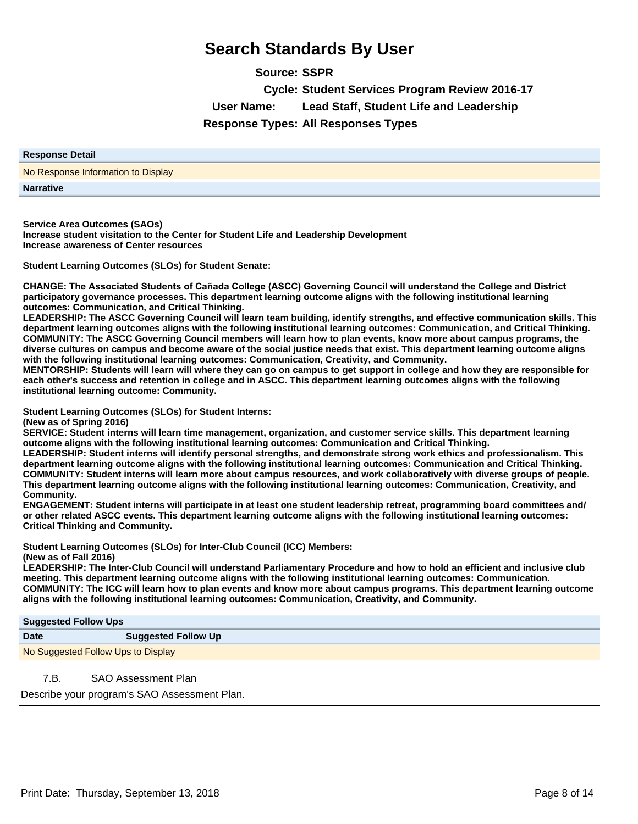**Source: SSPR Cycle: Student Services Program Review 2016-17 User Name: Lead Staff, Student Life and Leadership Response Types: All Responses Types**

#### **Response Detail**

No Response Information to Display

**Narrative**

**Service Area Outcomes (SAOs)** 

**Increase student visitation to the Center for Student Life and Leadership Development Increase awareness of Center resources**

**Student Learning Outcomes (SLOs) for Student Senate:**

CHANGE: The Associated Students of Cañada College (ASCC) Governing Council will understand the College and District **participatory governance processes. This department learning outcome aligns with the following institutional learning outcomes: Communication, and Critical Thinking.**

**LEADERSHIP: The ASCC Governing Council will learn team building, identify strengths, and effective communication skills. This department learning outcomes aligns with the following institutional learning outcomes: Communication, and Critical Thinking. COMMUNITY: The ASCC Governing Council members will learn how to plan events, know more about campus programs, the diverse cultures on campus and become aware of the social justice needs that exist. This department learning outcome aligns with the following institutional learning outcomes: Communication, Creativity, and Community.** 

**MENTORSHIP: Students will learn will where they can go on campus to get support in college and how they are responsible for each other's success and retention in college and in ASCC. This department learning outcomes aligns with the following institutional learning outcome: Community.** 

**Student Learning Outcomes (SLOs) for Student Interns:**

**(New as of Spring 2016)**

**SERVICE: Student interns will learn time management, organization, and customer service skills. This department learning outcome aligns with the following institutional learning outcomes: Communication and Critical Thinking.** 

**LEADERSHIP: Student interns will identify personal strengths, and demonstrate strong work ethics and professionalism. This department learning outcome aligns with the following institutional learning outcomes: Communication and Critical Thinking. COMMUNITY: Student interns will learn more about campus resources, and work collaboratively with diverse groups of people. This department learning outcome aligns with the following institutional learning outcomes: Communication, Creativity, and Community.** 

**ENGAGEMENT: Student interns will participate in at least one student leadership retreat, programming board committees and/ or other related ASCC events. This department learning outcome aligns with the following institutional learning outcomes: Critical Thinking and Community.** 

**Student Learning Outcomes (SLOs) for Inter-Club Council (ICC) Members:**

**(New as of Fall 2016)**

**LEADERSHIP: The Inter-Club Council will understand Parliamentary Procedure and how to hold an efficient and inclusive club meeting. This department learning outcome aligns with the following institutional learning outcomes: Communication. COMMUNITY: The ICC will learn how to plan events and know more about campus programs. This department learning outcome aligns with the following institutional learning outcomes: Communication, Creativity, and Community.** 

**Suggested Follow Ups**

**Date Suggested Follow Up**

No Suggested Follow Ups to Display

7.B. SAO Assessment Plan

Describe your program's SAO Assessment Plan.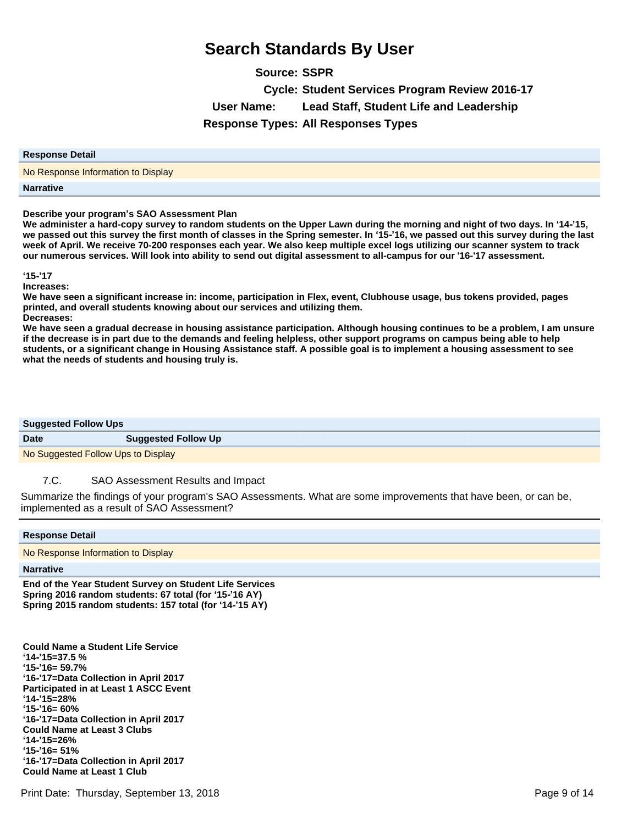**Source: SSPR Cycle: Student Services Program Review 2016-17 User Name: Lead Staff, Student Life and Leadership Response Types: All Responses Types**

#### **Response Detail**

No Response Information to Display

#### **Narrative**

**Describe your program¶s SAO Assessment Plan**

We administer a hard-copy survey to random students on the Upper Lawn during the morning and night of two days. In '14-'15, we passed out this survey the first month of classes in the Spring semester. In '15-'16, we passed out this survey during the last **week of April. We receive 70-200 responses each year. We also keep multiple excel logs utilizing our scanner system to track our numerous services. Will look into ability to send out digital assessment to all-campus for our '16-'17 assessment.**

**µ15¶17**

**Increases:**

**We have seen a significant increase in: income, participation in Flex, event, Clubhouse usage, bus tokens provided, pages printed, and overall students knowing about our services and utilizing them.**

**Decreases:**

**We have seen a gradual decrease in housing assistance participation. Although housing continues to be a problem, I am unsure if the decrease is in part due to the demands and feeling helpless, other support programs on campus being able to help students, or a significant change in Housing Assistance staff. A possible goal is to implement a housing assessment to see what the needs of students and housing truly is.**

| <b>Suggested Follow Ups</b>        |                            |
|------------------------------------|----------------------------|
| <b>Date</b>                        | <b>Suggested Follow Up</b> |
| No Suggested Follow Ups to Display |                            |

7.C. SAO Assessment Results and Impact

Summarize the findings of your program's SAO Assessments. What are some improvements that have been, or can be, implemented as a result of SAO Assessment?

| <b>Response Detail</b>                                                                                                                                                       |
|------------------------------------------------------------------------------------------------------------------------------------------------------------------------------|
| No Response Information to Display                                                                                                                                           |
| <b>Narrative</b>                                                                                                                                                             |
| End of the Year Student Survey on Student Life Services<br>Spring 2016 random students: 67 total (for '15-'16 AY)<br>Spring 2015 random students: 157 total (for '14-'15 AY) |

**Could Name a Student Life Service µ14¶15=37.5 % µ15¶16= 59.7% µ16¶17=Data Collection in April 2017 Participated in at Least 1 ASCC Event µ14¶15=28% µ15¶16= 60% µ16¶17=Data Collection in April 2017 Could Name at Least 3 Clubs µ14¶15=26% µ15¶16= 51% µ16¶17=Data Collection in April 2017 Could Name at Least 1 Club**

Print Date: Thursday, September 13, 2018 **Page 19, 2018** Page 9 of 14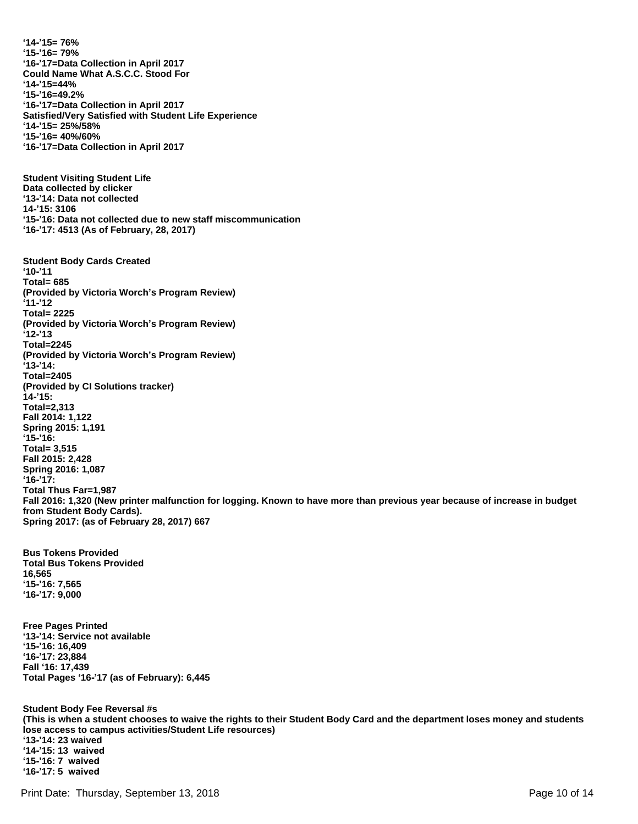**µ14¶15= 76% µ15¶16= 79% µ16¶17=Data Collection in April 2017 Could Name What A.S.C.C. Stood For µ14¶15=44% µ15¶16=49.2% µ16¶17=Data Collection in April 2017 Satisfied/Very Satisfied with Student Life Experience µ14¶15= 25%/58% µ15¶16= 40%/60% µ16¶17=Data Collection in April 2017 Student Visiting Student Life Data collected by clicker µ13¶14: Data not collected 14¶15: 3106 µ15¶16: Data not collected due to new staff miscommunication µ16¶17: 4513 (As of February, 28, 2017) Student Body Cards Created µ10¶11 Total= 685 (Provided by Victoria Worch¶s Program Review) µ11¶12 Total= 2225 (Provided by Victoria Worch¶s Program Review) µ12¶13 Total=2245 (Provided by Victoria Worch¶s Program Review) µ13¶14: Total=2405 (Provided by CI Solutions tracker) 14¶15: Total=2,313 Fall 2014: 1,122 Spring 2015: 1,191 µ15¶16: Total= 3,515 Fall 2015: 2,428 Spring 2016: 1,087 µ16¶17: Total Thus Far=1,987 Fall 2016: 1,320 (New printer malfunction for logging. Known to have more than previous year because of increase in budget from Student Body Cards). Spring 2017: (as of February 28, 2017) 667**

**Bus Tokens Provided Total Bus Tokens Provided 16,565 µ15¶16: 7,565 µ16¶17: 9,000**

**Free Pages Printed µ13¶14: Service not available µ15¶16: 16,409 µ16¶17: 23,884 Fall µ16: 17,439 Total Pages µ16¶17 (as of February): 6,445**

**Student Body Fee Reversal #s (This is when a student chooses to waive the rights to their Student Body Card and the department loses money and students lose access to campus activities/Student Life resources) µ13¶14: 23 waived**  $4$ **14**<sup> $-$ </sup>**15: 13** waived  $15$ <sup>2</sup>**16: 7** waived  $46$ <sup>2</sup>**17: 5** waived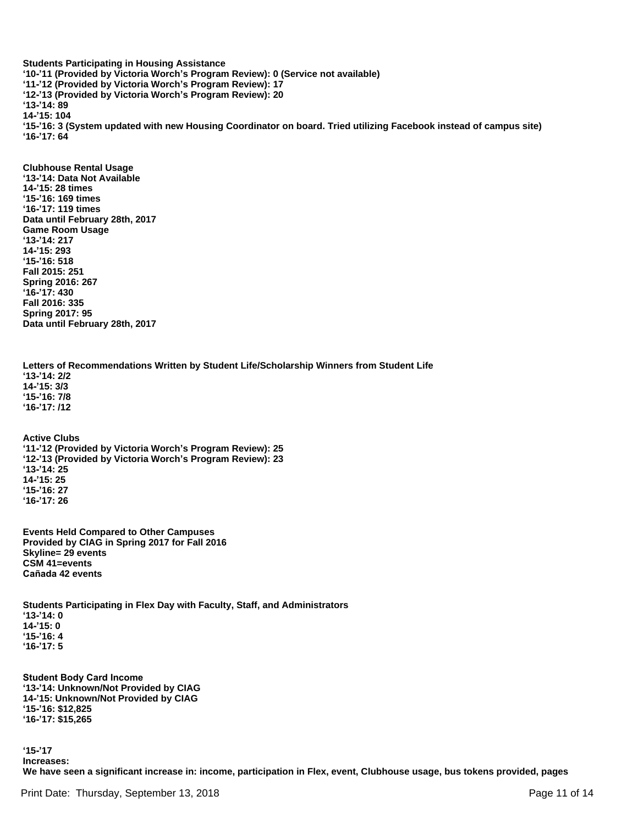**Students Participating in Housing Assistance µ10¶11 (Provided by Victoria Worch¶s Program Review): 0 (Service not available) µ11¶12 (Provided by Victoria Worch¶s Program Review): 17 µ12¶13 (Provided by Victoria Worch¶s Program Review): 20 µ13¶14: 89 14¶15: 104 µ15¶16: 3 (System updated with new Housing Coordinator on board. Tried utilizing Facebook instead of campus site) µ16¶17: 64**

**Clubhouse Rental Usage µ13¶14: Data Not Available 14¶15: 28 times µ15¶16: 169 times µ16¶17: 119 times Data until February 28th, 2017 Game Room Usage µ13¶14: 217 14¶15: 293 µ15¶16: 518 Fall 2015: 251 Spring 2016: 267 µ16¶17: 430 Fall 2016: 335 Spring 2017: 95 Data until February 28th, 2017**

**Letters of Recommendations Written by Student Life/Scholarship Winners from Student Life µ13¶14: 2/2 14¶15: 3/3 µ15¶16: 7/8 µ16¶17: /12**

**Active Clubs µ11¶12 (Provided by Victoria Worch¶s Program Review): 25 µ12¶13 (Provided by Victoria Worch¶s Program Review): 23 µ13¶14: 25 14¶15: 25 µ15¶16: 27 µ16¶17: 26**

**Events Held Compared to Other Campuses Provided by CIAG in Spring 2017 for Fall 2016 Skyline= 29 events CSM 41=events** Cañada 42 events

**Students Participating in Flex Day with Faculty, Staff, and Administrators µ13¶14: 0 14¶15: 0 µ15¶16: 4 µ16¶17: 5**

**Student Body Card Income µ13¶14: Unknown/Not Provided by CIAG 14¶15: Unknown/Not Provided by CIAG µ15¶16: \$12,825 µ16¶17: \$15,265**

**µ15¶17 Increases: We have seen a significant increase in: income, participation in Flex, event, Clubhouse usage, bus tokens provided, pages**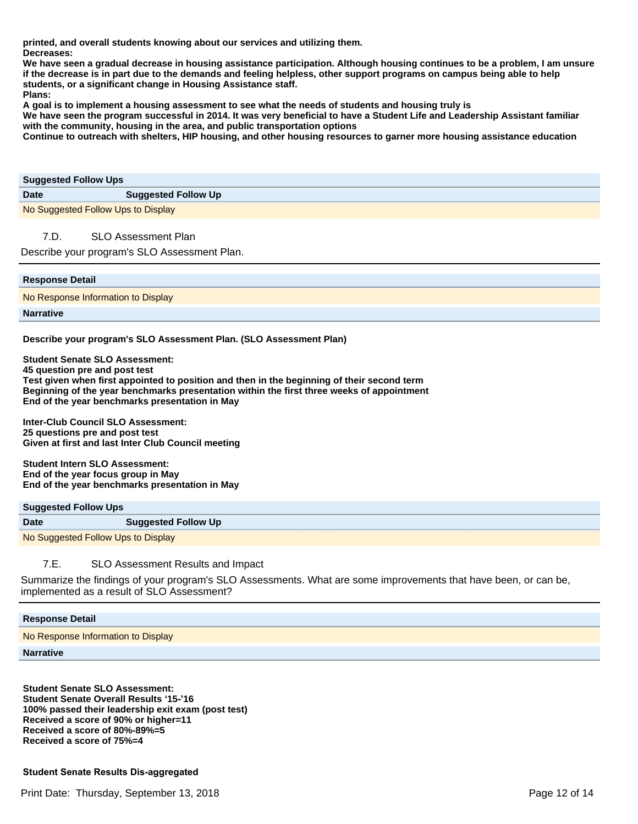**printed, and overall students knowing about our services and utilizing them. Decreases:**

**We have seen a gradual decrease in housing assistance participation. Although housing continues to be a problem, I am unsure if the decrease is in part due to the demands and feeling helpless, other support programs on campus being able to help students, or a significant change in Housing Assistance staff.** 

**Plans:**

**A goal is to implement a housing assessment to see what the needs of students and housing truly is**

**We have seen the program successful in 2014. It was very beneficial to have a Student Life and Leadership Assistant familiar with the community, housing in the area, and public transportation options**

**Continue to outreach with shelters, HIP housing, and other housing resources to garner more housing assistance education**

| <b>Suggested Follow Ups</b>        |                            |  |
|------------------------------------|----------------------------|--|
| <b>Date</b>                        | <b>Suggested Follow Up</b> |  |
| No Suggested Follow Ups to Display |                            |  |

7.D. SLO Assessment Plan

Describe your program's SLO Assessment Plan.

| <b>Response Detail</b>             |
|------------------------------------|
| No Response Information to Display |
| <b>Narrative</b>                   |

**Describe your program's SLO Assessment Plan. (SLO Assessment Plan)**

**Student Senate SLO Assessment: 45 question pre and post test Test given when first appointed to position and then in the beginning of their second term Beginning of the year benchmarks presentation within the first three weeks of appointment End of the year benchmarks presentation in May**

**Inter-Club Council SLO Assessment: 25 questions pre and post test Given at first and last Inter Club Council meeting**

**Student Intern SLO Assessment: End of the year focus group in May End of the year benchmarks presentation in May**

| <b>Suggested Follow Ups</b>        |                            |  |
|------------------------------------|----------------------------|--|
| <b>Date</b>                        | <b>Suggested Follow Up</b> |  |
| No Suggested Follow Ups to Display |                            |  |

7.E. SLO Assessment Results and Impact

Summarize the findings of your program's SLO Assessments. What are some improvements that have been, or can be, implemented as a result of SLO Assessment?

| <b>Response Detail</b>             |
|------------------------------------|
| No Response Information to Display |
| <b>Narrative</b>                   |

**Student Senate SLO Assessment: Student Senate Overall Results µ15¶16 100% passed their leadership exit exam (post test) Received a score of 90% or higher=11 Received a score of 80%-89%=5 Received a score of 75%=4**

## **Student Senate Results Dis-aggregated**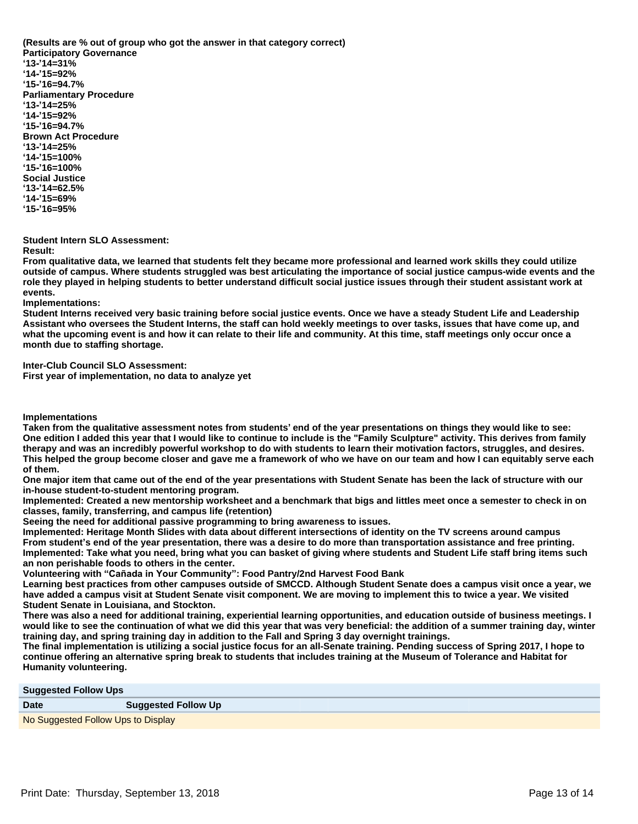**(Results are % out of group who got the answer in that category correct) Participatory Governance µ13¶14=31% µ14¶15=92% µ15¶16=94.7% Parliamentary Procedure µ13¶14=25% µ14¶15=92% µ15¶16=94.7% Brown Act Procedure µ13¶14=25% µ14¶15=100% µ15¶16=100% Social Justice µ13¶14=62.5% µ14¶15=69% µ15¶16=95%**

**Student Intern SLO Assessment:**

**Result:**

**From qualitative data, we learned that students felt they became more professional and learned work skills they could utilize outside of campus. Where students struggled was best articulating the importance of social justice campus-wide events and the role they played in helping students to better understand difficult social justice issues through their student assistant work at events.** 

**Implementations:**

**Student Interns received very basic training before social justice events. Once we have a steady Student Life and Leadership Assistant who oversees the Student Interns, the staff can hold weekly meetings to over tasks, issues that have come up, and what the upcoming event is and how it can relate to their life and community. At this time, staff meetings only occur once a month due to staffing shortage.** 

**Inter-Club Council SLO Assessment: First year of implementation, no data to analyze yet**

**Implementations**

**Taken from the qualitative assessment notes from students¶end of the year presentations on things they would like to see: One edition I added this year that I would like to continue to include is the "Family Sculpture" activity. This derives from family therapy and was an incredibly powerful workshop to do with students to learn their motivation factors, struggles, and desires. This helped the group become closer and gave me a framework of who we have on our team and how I can equitably serve each of them.**

**One major item that came out of the end of the year presentations with Student Senate has been the lack of structure with our in-house student-to-student mentoring program.** 

**Implemented: Created a new mentorship worksheet and a benchmark that bigs and littles meet once a semester to check in on classes, family, transferring, and campus life (retention)**

**Seeing the need for additional passive programming to bring awareness to issues.** 

**Implemented: Heritage Month Slides with data about different intersections of identity on the TV screens around campus** From student's end of the year presentation, there was a desire to do more than transportation assistance and free printing. **Implemented: Take what you need, bring what you can basket of giving where students and Student Life staff bring items such an non perishable foods to others in the center.**

**Volunteering with "Cañada in Your Community": Food Pantry/2nd Harvest Food Bank** 

**Learning best practices from other campuses outside of SMCCD. Although Student Senate does a campus visit once a year, we have added a campus visit at Student Senate visit component. We are moving to implement this to twice a year. We visited Student Senate in Louisiana, and Stockton.** 

**There was also a need for additional training, experiential learning opportunities, and education outside of business meetings. I would like to see the continuation of what we did this year that was very beneficial: the addition of a summer training day, winter training day, and spring training day in addition to the Fall and Spring 3 day overnight trainings.**

**The final implementation is utilizing a social justice focus for an all-Senate training. Pending success of Spring 2017, I hope to continue offering an alternative spring break to students that includes training at the Museum of Tolerance and Habitat for Humanity volunteering.**

**Suggested Follow Ups**

| <b>Date</b>                        | <b>Suggested Follow Up</b> |
|------------------------------------|----------------------------|
| No Suggested Follow Ups to Display |                            |